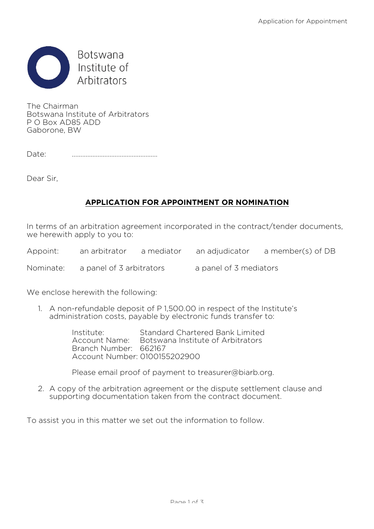

The Chairman Botswana Institute of Arbitrators P O Box AD85 ADD Gaborone, BW

Date: …………………………………..………

Dear Sir,

## **APPLICATION FOR APPOINTMENT OR NOMINATION**

In terms of an arbitration agreement incorporated in the contract/tender documents, we herewith apply to you to:

| Appoint:  | an arbitrator            | a mediator | an adjudicator         | a member(s) of DB |
|-----------|--------------------------|------------|------------------------|-------------------|
| Nominate: | a panel of 3 arbitrators |            | a panel of 3 mediators |                   |

We enclose herewith the following:

1. A non-refundable deposit of P 1,500.00 in respect of the Institute's administration costs, payable by electronic funds transfer to:

> Institute: Standard Chartered Bank Limited Account Name: Botswana Institute of Arbitrators Branch Number: 662167 Account Number: 0100155202900

Please email proof of payment to treasurer@biarb.org.

2. A copy of the arbitration agreement or the dispute settlement clause and supporting documentation taken from the contract document.

To assist you in this matter we set out the information to follow.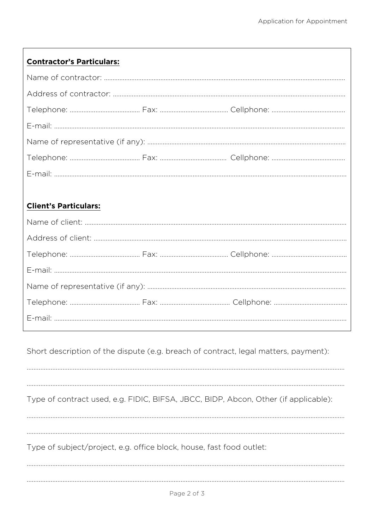## **Contractor's Particulars:**

## **Client's Particulars:**

Short description of the dispute (e.g. breach of contract, legal matters, payment):

Type of contract used, e.g. FIDIC, BIFSA, JBCC, BIDP, Abcon, Other (if applicable):

Type of subject/project, e.g. office block, house, fast food outlet: